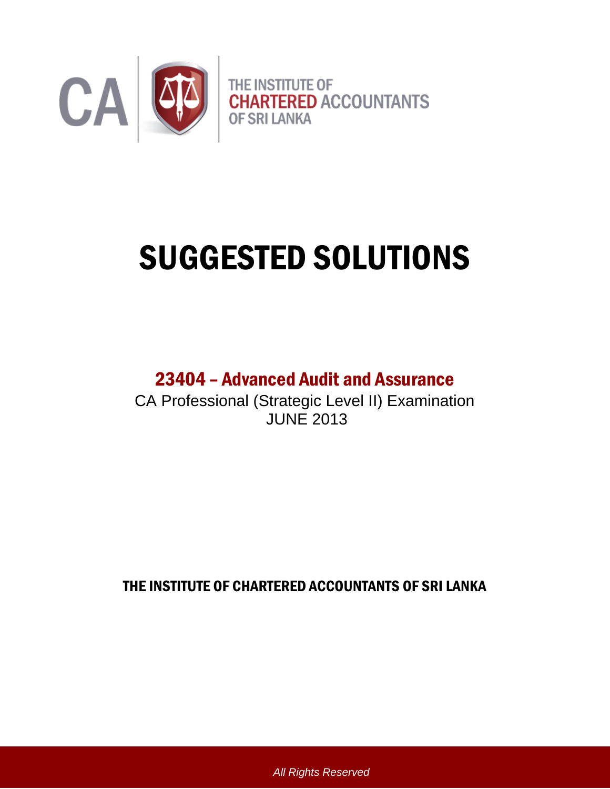

# SUGGESTED SOLUTIONS

# 23404 – Advanced Audit and Assurance

CA Professional (Strategic Level II) Examination JUNE 2013

THE INSTITUTE OF CHARTERED ACCOUNTANTS OF SRI LANKA

*All Rights Reserved*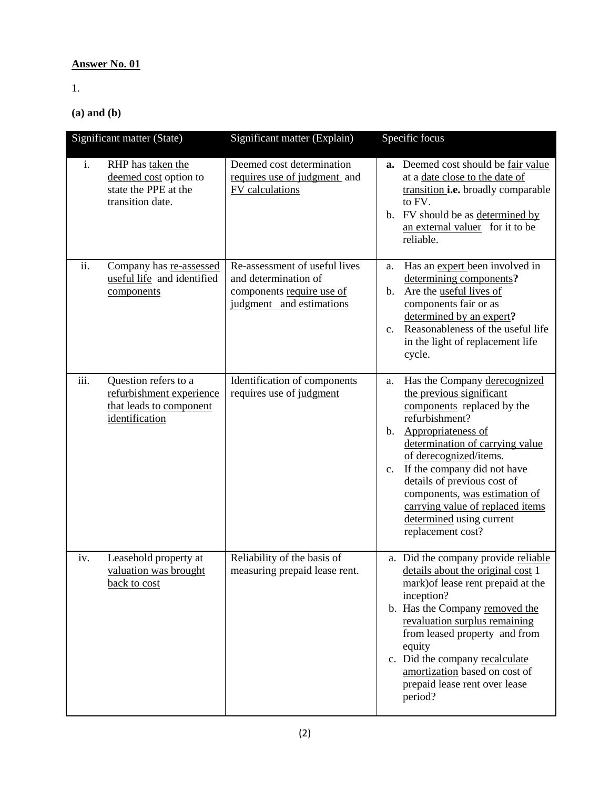# **Answer No. 01**

1.

**(a) and (b)**

| Significant matter (State) |                                                                                               | Significant matter (Explain)                                                                                   | Specific focus                                                                                                                                                                                                                                                                                                                                                                                                |
|----------------------------|-----------------------------------------------------------------------------------------------|----------------------------------------------------------------------------------------------------------------|---------------------------------------------------------------------------------------------------------------------------------------------------------------------------------------------------------------------------------------------------------------------------------------------------------------------------------------------------------------------------------------------------------------|
| i.                         | RHP has taken the<br>deemed cost option to<br>state the PPE at the<br>transition date.        | Deemed cost determination<br>requires use of judgment and<br>FV calculations                                   | a. Deemed cost should be fair value<br>at a date close to the date of<br>transition <i>i.e.</i> broadly comparable<br>to FV.<br>b. FV should be as determined by<br>an external valuer for it to be<br>reliable.                                                                                                                                                                                              |
| ii.                        | Company has re-assessed<br>useful life and identified<br>components                           | Re-assessment of useful lives<br>and determination of<br>components require use of<br>judgment and estimations | Has an expert been involved in<br>a.<br>determining components?<br>Are the useful lives of<br>$\mathbf{b}$ .<br>components fair or as<br>determined by an expert?<br>Reasonableness of the useful life<br>$c_{\cdot}$<br>in the light of replacement life<br>cycle.                                                                                                                                           |
| iii.                       | Question refers to a<br>refurbishment experience<br>that leads to component<br>identification | Identification of components<br>requires use of judgment                                                       | Has the Company derecognized<br>a.<br>the previous significant<br>components replaced by the<br>refurbishment?<br>Appropriateness of<br>$\mathbf{b}$ .<br>determination of carrying value<br>of derecognized/items.<br>If the company did not have<br>c.<br>details of previous cost of<br>components, was estimation of<br>carrying value of replaced items<br>determined using current<br>replacement cost? |
| iv.                        | Leasehold property at<br>valuation was brought<br>back to cost                                | Reliability of the basis of<br>measuring prepaid lease rent.                                                   | a. Did the company provide reliable<br>details about the original cost 1<br>mark) of lease rent prepaid at the<br>inception?<br>b. Has the Company removed the<br>revaluation surplus remaining<br>from leased property and from<br>equity<br>c. Did the company recalculate<br>amortization based on cost of<br>prepaid lease rent over lease<br>period?                                                     |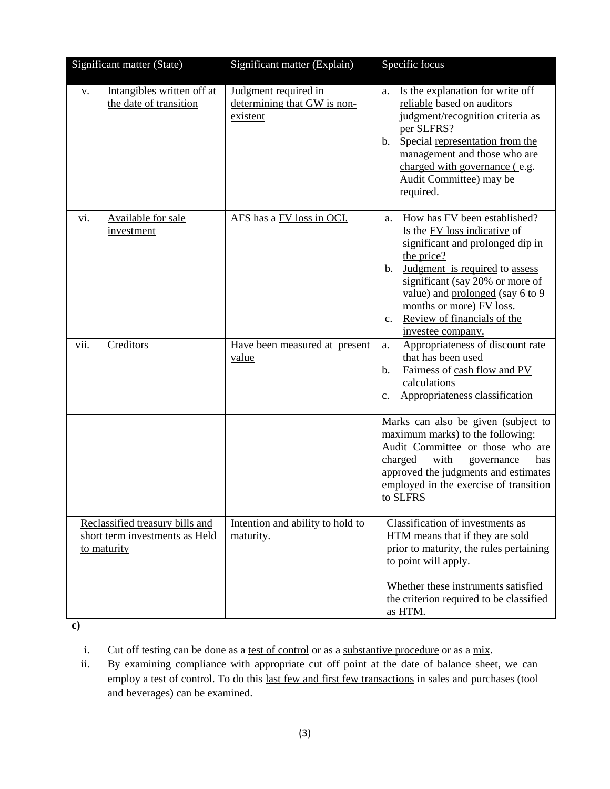| Significant matter (State)                                                       | Significant matter (Explain)                                    | Specific focus                                                                                                                                                                                                                                                                                                                                    |
|----------------------------------------------------------------------------------|-----------------------------------------------------------------|---------------------------------------------------------------------------------------------------------------------------------------------------------------------------------------------------------------------------------------------------------------------------------------------------------------------------------------------------|
| Intangibles written off at<br>V.<br>the date of transition                       | Judgment required in<br>determining that GW is non-<br>existent | Is the explanation for write off<br>a.<br>reliable based on auditors<br>judgment/recognition criteria as<br>per SLFRS?<br>Special representation from the<br>$\mathbf{b}$ .<br>management and those who are<br>charged with governance (e.g.<br>Audit Committee) may be<br>required.                                                              |
| vi.<br>Available for sale<br>investment                                          | AFS has a FV loss in OCI.                                       | How has FV been established?<br>a.<br>Is the FV loss indicative of<br>significant and prolonged dip in<br>the price?<br>Judgment is required to assess<br>$\mathbf{b}$ .<br>significant (say 20% or more of<br>value) and prolonged (say 6 to 9<br>months or more) FV loss.<br>Review of financials of the<br>$\mathbf{c}$ .<br>investee company. |
| vii.<br>Creditors                                                                | Have been measured at present<br><u>value</u>                   | Appropriateness of discount rate<br>a.<br>that has been used<br>Fairness of cash flow and PV<br>b.<br>calculations<br>Appropriateness classification<br>c.                                                                                                                                                                                        |
|                                                                                  |                                                                 | Marks can also be given (subject to<br>maximum marks) to the following:<br>Audit Committee or those who are<br>charged<br>with<br>governance<br>has<br>approved the judgments and estimates<br>employed in the exercise of transition<br>to SLFRS                                                                                                 |
| Reclassified treasury bills and<br>short term investments as Held<br>to maturity | Intention and ability to hold to<br>maturity.                   | Classification of investments as<br>HTM means that if they are sold<br>prior to maturity, the rules pertaining<br>to point will apply.<br>Whether these instruments satisfied<br>the criterion required to be classified<br>as HTM.                                                                                                               |

**c)** 

i. Cut off testing can be done as a test of control or as a substantive procedure or as a mix.

ii. By examining compliance with appropriate cut off point at the date of balance sheet, we can employ a test of control. To do this last few and first few transactions in sales and purchases (tool and beverages) can be examined.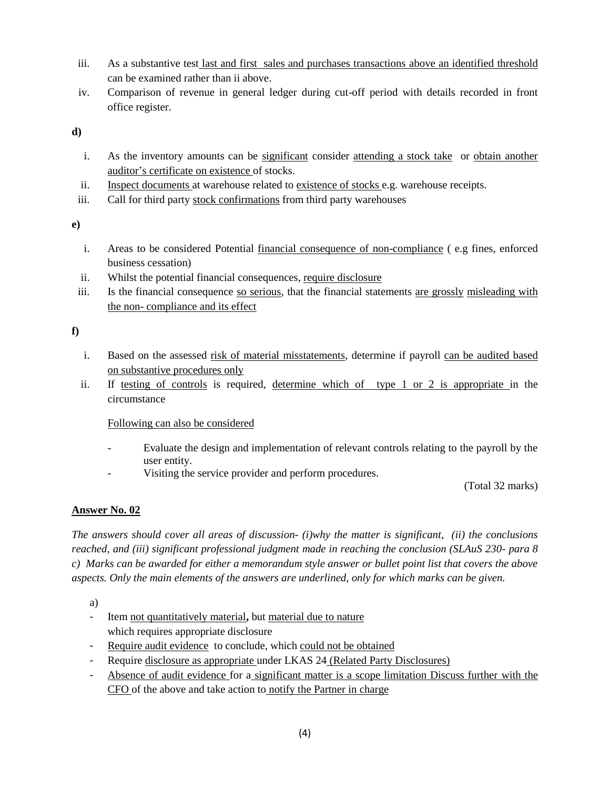- iii. As a substantive test last and first sales and purchases transactions above an identified threshold can be examined rather than ii above.
- iv. Comparison of revenue in general ledger during cut-off period with details recorded in front office register.

**d)** 

- i. As the inventory amounts can be <u>significant</u> consider <u>attending a stock take</u> or <u>obtain another</u> auditor's certificate on existence of stocks.
- ii. Inspect documents at warehouse related to existence of stocks e.g. warehouse receipts.
- iii. Call for third party stock confirmations from third party warehouses

**e)** 

- i. Areas to be considered Potential financial consequence of non-compliance ( e.g fines, enforced business cessation)
- ii. Whilst the potential financial consequences, require disclosure
- iii. Is the financial consequence so serious, that the financial statements are grossly misleading with the non- compliance and its effect

**f)** 

- i. Based on the assessed risk of material misstatements, determine if payroll can be audited based on substantive procedures only
- ii. If testing of controls is required, determine which of type 1 or 2 is appropriate in the circumstance

# Following can also be considered

- Evaluate the design and implementation of relevant controls relating to the payroll by the user entity.
- Visiting the service provider and perform procedures.

(Total 32 marks)

# **Answer No. 02**

*The answers should cover all areas of discussion- (i)why the matter is significant, (ii) the conclusions reached, and (iii) significant professional judgment made in reaching the conclusion (SLAuS 230- para 8 c) Marks can be awarded for either a memorandum style answer or bullet point list that covers the above aspects. Only the main elements of the answers are underlined, only for which marks can be given.* 

a)

- Item not quantitatively material**,** but material due to nature which requires appropriate disclosure
- Require audit evidence to conclude, which could not be obtained
- Require disclosure as appropriate under LKAS 24 (Related Party Disclosures)
- Absence of audit evidence for a significant matter is a scope limitation Discuss further with the CFO of the above and take action to notify the Partner in charge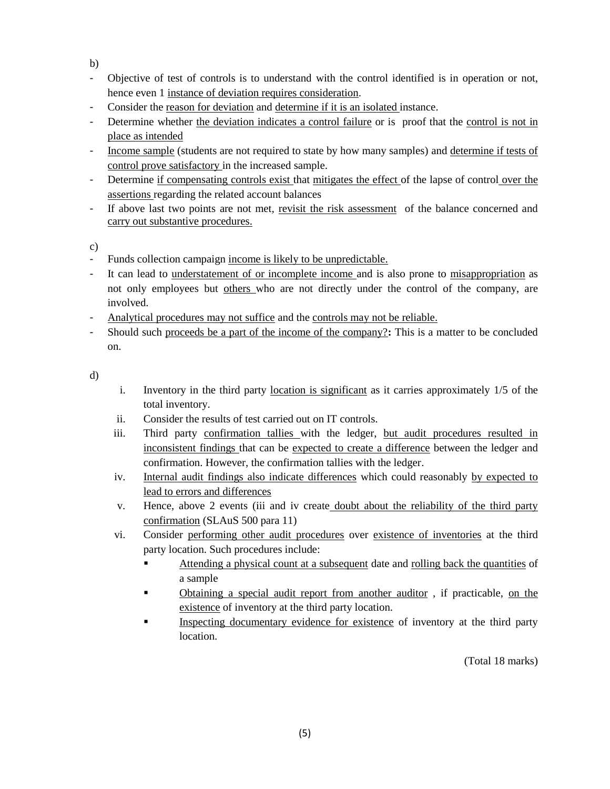b)

- Objective of test of controls is to understand with the control identified is in operation or not, hence even 1 instance of deviation requires consideration.
- Consider the reason for deviation and determine if it is an isolated instance.
- Determine whether the deviation indicates a control failure or is proof that the control is not in place as intended
- Income sample (students are not required to state by how many samples) and determine if tests of control prove satisfactory in the increased sample.
- Determine if compensating controls exist that mitigates the effect of the lapse of control over the assertions regarding the related account balances
- If above last two points are not met, revisit the risk assessment of the balance concerned and carry out substantive procedures.

c)

- Funds collection campaign income is likely to be unpredictable.
- It can lead to understatement of or incomplete income and is also prone to misappropriation as not only employees but others who are not directly under the control of the company, are involved.
- Analytical procedures may not suffice and the controls may not be reliable.
- Should such proceeds be a part of the income of the company?**:** This is a matter to be concluded on.

d)

- i. Inventory in the third party location is significant as it carries approximately 1/5 of the total inventory.
- ii. Consider the results of test carried out on IT controls.
- iii. Third party confirmation tallies with the ledger, but audit procedures resulted in inconsistent findings that can be expected to create a difference between the ledger and confirmation. However, the confirmation tallies with the ledger.
- iv. Internal audit findings also indicate differences which could reasonably by expected to lead to errors and differences
- v. Hence, above 2 events (iii and iv create doubt about the reliability of the third party confirmation (SLAuS 500 para 11)
- vi. Consider performing other audit procedures over existence of inventories at the third party location. Such procedures include:
	- Attending a physical count at a subsequent date and rolling back the quantities of a sample
	- Obtaining a special audit report from another auditor , if practicable, on the existence of inventory at the third party location.
	- Inspecting documentary evidence for existence of inventory at the third party location.

(Total 18 marks)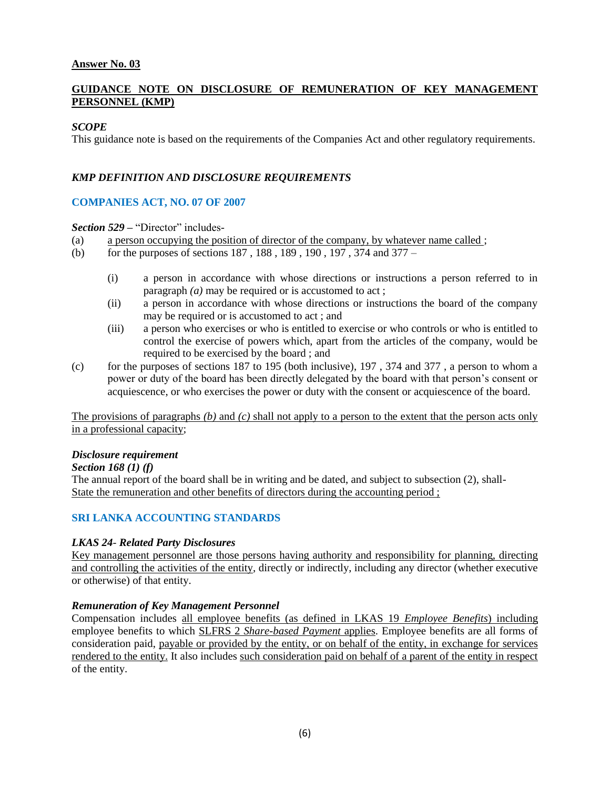#### **Answer No. 03**

#### **GUIDANCE NOTE ON DISCLOSURE OF REMUNERATION OF KEY MANAGEMENT PERSONNEL (KMP)**

#### *SCOPE*

This guidance note is based on the requirements of the Companies Act and other regulatory requirements.

#### *KMP DEFINITION AND DISCLOSURE REQUIREMENTS*

#### **COMPANIES ACT, NO. 07 OF 2007**

*Section 529 –* "Director" includes-

- (a) a person occupying the position of director of the company, by whatever name called ;
- (b) for the purposes of sections 187 , 188 , 189 , 190 , 197 , 374 and 377
	- (i) a person in accordance with whose directions or instructions a person referred to in paragraph (*a*) may be required or is accustomed to act;
	- (ii) a person in accordance with whose directions or instructions the board of the company may be required or is accustomed to act ; and
	- (iii) a person who exercises or who is entitled to exercise or who controls or who is entitled to control the exercise of powers which, apart from the articles of the company, would be required to be exercised by the board ; and
- (c) for the purposes of sections 187 to 195 (both inclusive), 197 , 374 and 377 , a person to whom a power or duty of the board has been directly delegated by the board with that person's consent or acquiescence, or who exercises the power or duty with the consent or acquiescence of the board.

The provisions of paragraphs *(b)* and *(c)* shall not apply to a person to the extent that the person acts only in a professional capacity;

#### *Disclosure requirement*

#### *Section 168 (1) (f)*

The annual report of the board shall be in writing and be dated, and subject to subsection (2), shall-State the remuneration and other benefits of directors during the accounting period ;

# **SRI LANKA ACCOUNTING STANDARDS**

#### *LKAS 24- Related Party Disclosures*

Key management personnel are those persons having authority and responsibility for planning, directing and controlling the activities of the entity, directly or indirectly, including any director (whether executive or otherwise) of that entity.

#### *Remuneration of Key Management Personnel*

Compensation includes all employee benefits (as defined in LKAS 19 *Employee Benefits*) including employee benefits to which SLFRS 2 *Share-based Payment* applies. Employee benefits are all forms of consideration paid, payable or provided by the entity, or on behalf of the entity, in exchange for services rendered to the entity. It also includes such consideration paid on behalf of a parent of the entity in respect of the entity.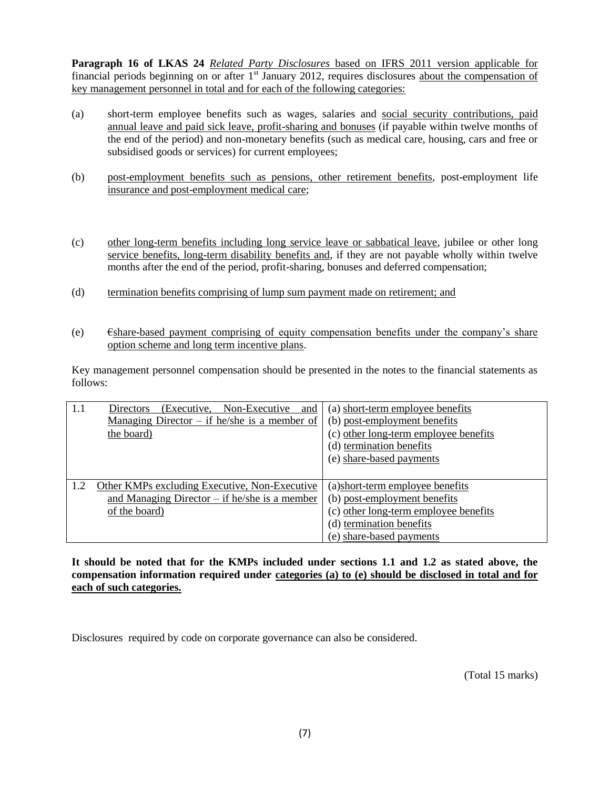**Paragraph 16 of LKAS 24** *Related Party Disclosures* based on IFRS 2011 version applicable for financial periods beginning on or after  $1<sup>st</sup>$  January 2012, requires disclosures about the compensation of key management personnel in total and for each of the following categories:

- (a) short-term employee benefits such as wages, salaries and social security contributions, paid annual leave and paid sick leave, profit-sharing and bonuses (if payable within twelve months of the end of the period) and non-monetary benefits (such as medical care, housing, cars and free or subsidised goods or services) for current employees;
- (b) post-employment benefits such as pensions, other retirement benefits, post-employment life insurance and post-employment medical care;
- (c) other long-term benefits including long service leave or sabbatical leave, jubilee or other long service benefits, long-term disability benefits and, if they are not payable wholly within twelve months after the end of the period, profit-sharing, bonuses and deferred compensation;
- (d) termination benefits comprising of lump sum payment made on retirement; and
- $\epsilon$ )  $\epsilon$ share-based payment comprising of equity compensation benefits under the company's share option scheme and long term incentive plans.

Key management personnel compensation should be presented in the notes to the financial statements as follows:

| 1.1 | (Executive. Non-Executive<br>Directors<br>and   | (a) short-term employee benefits      |
|-----|-------------------------------------------------|---------------------------------------|
|     | Managing Director $-$ if he/she is a member of  | (b) post-employment benefits          |
|     | the board)                                      | (c) other long-term employee benefits |
|     |                                                 | (d) termination benefits              |
|     |                                                 | (e) share-based payments              |
|     |                                                 |                                       |
| 1.2 | Other KMPs excluding Executive, Non-Executive   | (a) short-term employee benefits      |
|     | and Managing Director $-$ if he/she is a member | (b) post-employment benefits          |
|     | of the board)                                   | (c) other long-term employee benefits |
|     |                                                 | (d) termination benefits              |
|     |                                                 | (e) share-based payments              |

**It should be noted that for the KMPs included under sections 1.1 and 1.2 as stated above, the compensation information required under categories (a) to (e) should be disclosed in total and for each of such categories.**

Disclosures required by code on corporate governance can also be considered.

(Total 15 marks)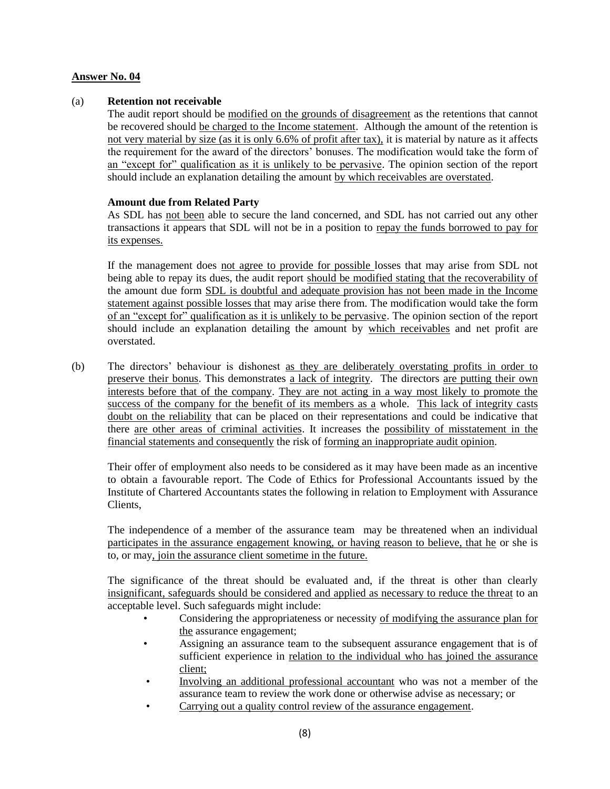#### **Answer No. 04**

#### (a) **Retention not receivable**

The audit report should be modified on the grounds of disagreement as the retentions that cannot be recovered should be charged to the Income statement. Although the amount of the retention is not very material by size (as it is only 6.6% of profit after tax), it is material by nature as it affects the requirement for the award of the directors' bonuses. The modification would take the form of an "except for" qualification as it is unlikely to be pervasive. The opinion section of the report should include an explanation detailing the amount by which receivables are overstated.

#### **Amount due from Related Party**

As SDL has not been able to secure the land concerned, and SDL has not carried out any other transactions it appears that SDL will not be in a position to repay the funds borrowed to pay for its expenses.

If the management does not agree to provide for possible losses that may arise from SDL not being able to repay its dues, the audit report should be modified stating that the recoverability of the amount due form SDL is doubtful and adequate provision has not been made in the Income statement against possible losses that may arise there from. The modification would take the form of an "except for" qualification as it is unlikely to be pervasive. The opinion section of the report should include an explanation detailing the amount by which receivables and net profit are overstated.

(b) The directors' behaviour is dishonest as they are deliberately overstating profits in order to preserve their bonus. This demonstrates a lack of integrity. The directors are putting their own interests before that of the company. They are not acting in a way most likely to promote the success of the company for the benefit of its members as a whole. This lack of integrity casts doubt on the reliability that can be placed on their representations and could be indicative that there are other areas of criminal activities. It increases the possibility of misstatement in the financial statements and consequently the risk of forming an inappropriate audit opinion.

Their offer of employment also needs to be considered as it may have been made as an incentive to obtain a favourable report. The Code of Ethics for Professional Accountants issued by the Institute of Chartered Accountants states the following in relation to Employment with Assurance Clients,

The independence of a member of the assurance team may be threatened when an individual participates in the assurance engagement knowing, or having reason to believe, that he or she is to, or may, join the assurance client sometime in the future.

The significance of the threat should be evaluated and, if the threat is other than clearly insignificant, safeguards should be considered and applied as necessary to reduce the threat to an acceptable level. Such safeguards might include:

- Considering the appropriateness or necessity of modifying the assurance plan for the assurance engagement;
- Assigning an assurance team to the subsequent assurance engagement that is of sufficient experience in relation to the individual who has joined the assurance client;
- Involving an additional professional accountant who was not a member of the assurance team to review the work done or otherwise advise as necessary; or
- Carrying out a quality control review of the assurance engagement.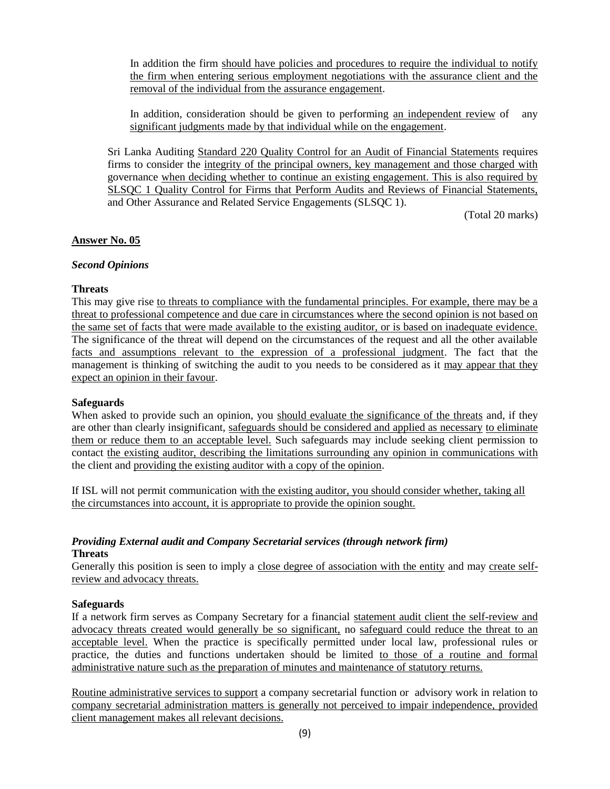In addition the firm should have policies and procedures to require the individual to notify the firm when entering serious employment negotiations with the assurance client and the removal of the individual from the assurance engagement.

In addition, consideration should be given to performing an independent review of any significant judgments made by that individual while on the engagement.

Sri Lanka Auditing Standard 220 Quality Control for an Audit of Financial Statements requires firms to consider the integrity of the principal owners, key management and those charged with governance when deciding whether to continue an existing engagement. This is also required by SLSQC 1 Quality Control for Firms that Perform Audits and Reviews of Financial Statements, and Other Assurance and Related Service Engagements (SLSQC 1).

(Total 20 marks)

#### **Answer No. 05**

#### *Second Opinions*

#### **Threats**

This may give rise to threats to compliance with the fundamental principles. For example, there may be a threat to professional competence and due care in circumstances where the second opinion is not based on the same set of facts that were made available to the existing auditor, or is based on inadequate evidence. The significance of the threat will depend on the circumstances of the request and all the other available facts and assumptions relevant to the expression of a professional judgment. The fact that the management is thinking of switching the audit to you needs to be considered as it may appear that they expect an opinion in their favour.

#### **Safeguards**

When asked to provide such an opinion, you should evaluate the significance of the threats and, if they are other than clearly insignificant, safeguards should be considered and applied as necessary to eliminate them or reduce them to an acceptable level. Such safeguards may include seeking client permission to contact the existing auditor, describing the limitations surrounding any opinion in communications with the client and providing the existing auditor with a copy of the opinion.

If ISL will not permit communication with the existing auditor, you should consider whether, taking all the circumstances into account, it is appropriate to provide the opinion sought.

#### *Providing External audit and Company Secretarial services (through network firm)* **Threats**

Generally this position is seen to imply a close degree of association with the entity and may create selfreview and advocacy threats.

#### **Safeguards**

If a network firm serves as Company Secretary for a financial statement audit client the self-review and advocacy threats created would generally be so significant, no safeguard could reduce the threat to an acceptable level. When the practice is specifically permitted under local law, professional rules or practice, the duties and functions undertaken should be limited to those of a routine and formal administrative nature such as the preparation of minutes and maintenance of statutory returns.

Routine administrative services to support a company secretarial function or advisory work in relation to company secretarial administration matters is generally not perceived to impair independence, provided client management makes all relevant decisions.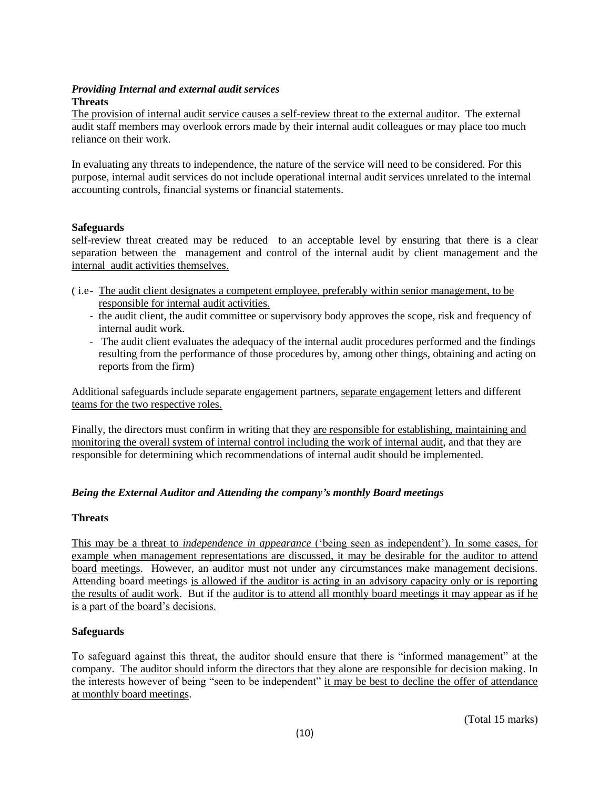#### *Providing Internal and external audit services* **Threats**

The provision of internal audit service causes a self-review threat to the external auditor. The external audit staff members may overlook errors made by their internal audit colleagues or may place too much reliance on their work.

In evaluating any threats to independence, the nature of the service will need to be considered. For this purpose, internal audit services do not include operational internal audit services unrelated to the internal accounting controls, financial systems or financial statements.

# **Safeguards**

self-review threat created may be reduced to an acceptable level by ensuring that there is a clear separation between the management and control of the internal audit by client management and the internal audit activities themselves.

- ( i.e- The audit client designates a competent employee, preferably within senior management, to be responsible for internal audit activities.
	- the audit client, the audit committee or supervisory body approves the scope, risk and frequency of internal audit work.
	- The audit client evaluates the adequacy of the internal audit procedures performed and the findings resulting from the performance of those procedures by, among other things, obtaining and acting on reports from the firm)

Additional safeguards include separate engagement partners, separate engagement letters and different teams for the two respective roles.

Finally, the directors must confirm in writing that they are responsible for establishing, maintaining and monitoring the overall system of internal control including the work of internal audit, and that they are responsible for determining which recommendations of internal audit should be implemented.

# *Being the External Auditor and Attending the company's monthly Board meetings*

#### **Threats**

This may be a threat to *independence in appearance* ('being seen as independent'). In some cases, for example when management representations are discussed, it may be desirable for the auditor to attend board meetings. However, an auditor must not under any circumstances make management decisions. Attending board meetings is allowed if the auditor is acting in an advisory capacity only or is reporting the results of audit work. But if the auditor is to attend all monthly board meetings it may appear as if he is a part of the board's decisions.

# **Safeguards**

To safeguard against this threat, the auditor should ensure that there is "informed management" at the company. The auditor should inform the directors that they alone are responsible for decision making. In the interests however of being "seen to be independent" it may be best to decline the offer of attendance at monthly board meetings.